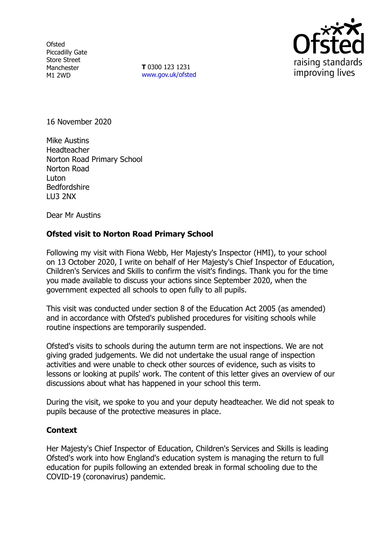**Ofsted** Piccadilly Gate Store Street Manchester M1 2WD

**T** 0300 123 1231 [www.gov.uk/ofsted](http://www.gov.uk/ofsted)



16 November 2020

Mike Austins Headteacher Norton Road Primary School Norton Road Luton Bedfordshire LU3 2NX

Dear Mr Austins

## **Ofsted visit to Norton Road Primary School**

Following my visit with Fiona Webb, Her Majesty's Inspector (HMI), to your school on 13 October 2020, I write on behalf of Her Majesty's Chief Inspector of Education, Children's Services and Skills to confirm the visit's findings. Thank you for the time you made available to discuss your actions since September 2020, when the government expected all schools to open fully to all pupils.

This visit was conducted under section 8 of the Education Act 2005 (as amended) and in accordance with Ofsted's published procedures for visiting schools while routine inspections are temporarily suspended.

Ofsted's visits to schools during the autumn term are not inspections. We are not giving graded judgements. We did not undertake the usual range of inspection activities and were unable to check other sources of evidence, such as visits to lessons or looking at pupils' work. The content of this letter gives an overview of our discussions about what has happened in your school this term.

During the visit, we spoke to you and your deputy headteacher. We did not speak to pupils because of the protective measures in place.

## **Context**

Her Majesty's Chief Inspector of Education, Children's Services and Skills is leading Ofsted's work into how England's education system is managing the return to full education for pupils following an extended break in formal schooling due to the COVID-19 (coronavirus) pandemic.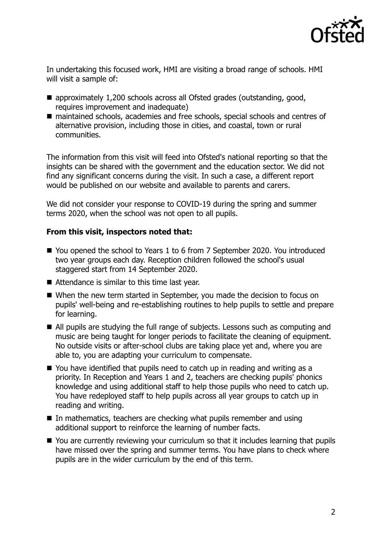

In undertaking this focused work, HMI are visiting a broad range of schools. HMI will visit a sample of:

- approximately 1,200 schools across all Ofsted grades (outstanding, good, requires improvement and inadequate)
- maintained schools, academies and free schools, special schools and centres of alternative provision, including those in cities, and coastal, town or rural communities.

The information from this visit will feed into Ofsted's national reporting so that the insights can be shared with the government and the education sector. We did not find any significant concerns during the visit. In such a case, a different report would be published on our website and available to parents and carers.

We did not consider your response to COVID-19 during the spring and summer terms 2020, when the school was not open to all pupils.

## **From this visit, inspectors noted that:**

- You opened the school to Years 1 to 6 from 7 September 2020. You introduced two year groups each day. Reception children followed the school's usual staggered start from 14 September 2020.
- Attendance is similar to this time last year.
- When the new term started in September, you made the decision to focus on pupils' well-being and re-establishing routines to help pupils to settle and prepare for learning.
- All pupils are studying the full range of subjects. Lessons such as computing and music are being taught for longer periods to facilitate the cleaning of equipment. No outside visits or after-school clubs are taking place yet and, where you are able to, you are adapting your curriculum to compensate.
- You have identified that pupils need to catch up in reading and writing as a priority. In Reception and Years 1 and 2, teachers are checking pupils' phonics knowledge and using additional staff to help those pupils who need to catch up. You have redeployed staff to help pupils across all year groups to catch up in reading and writing.
- In mathematics, teachers are checking what pupils remember and using additional support to reinforce the learning of number facts.
- You are currently reviewing your curriculum so that it includes learning that pupils have missed over the spring and summer terms. You have plans to check where pupils are in the wider curriculum by the end of this term.